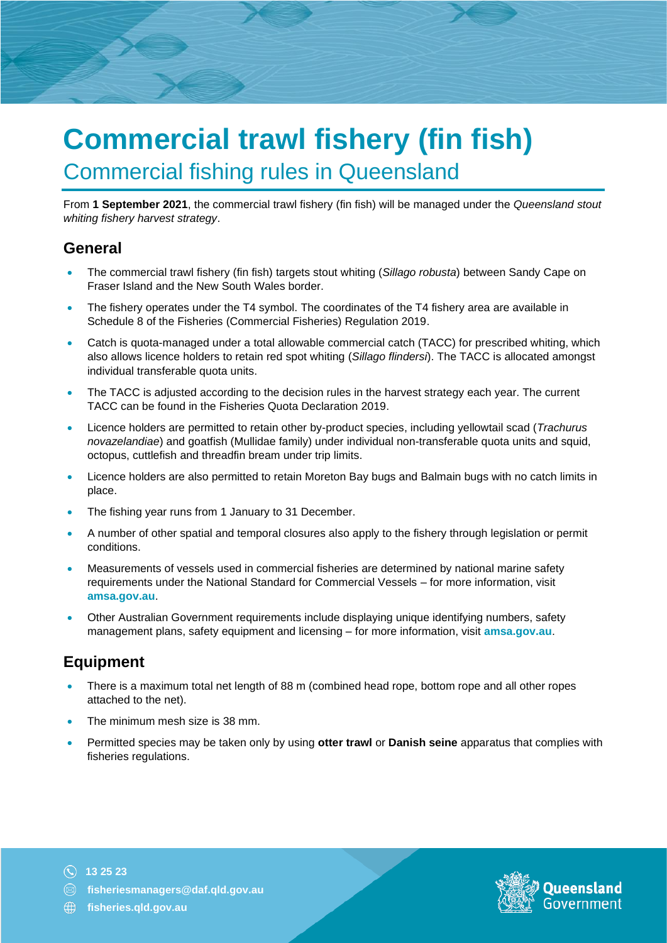# **Commercial trawl fishery (fin fish)** Commercial fishing rules in Queensland

From **1 September 2021**, the commercial trawl fishery (fin fish) will be managed under the *Queensland stout whiting fishery harvest strategy*.

#### **General**

- The commercial trawl fishery (fin fish) targets stout whiting (*Sillago robusta*) between Sandy Cape on Fraser Island and the New South Wales border.
- The fishery operates under the T4 symbol. The coordinates of the T4 fishery area are available in Schedule 8 of the Fisheries (Commercial Fisheries) Regulation 2019.
- Catch is quota-managed under a total allowable commercial catch (TACC) for prescribed whiting, which also allows licence holders to retain red spot whiting (*Sillago flindersi*). The TACC is allocated amongst individual transferable quota units.
- The TACC is adjusted according to the decision rules in the harvest strategy each year. The current TACC can be found in the Fisheries Quota Declaration 2019.
- Licence holders are permitted to retain other by-product species, including yellowtail scad (*Trachurus novazelandiae*) and goatfish (Mullidae family) under individual non-transferable quota units and squid, octopus, cuttlefish and threadfin bream under trip limits.
- Licence holders are also permitted to retain Moreton Bay bugs and Balmain bugs with no catch limits in place.
- The fishing year runs from 1 January to 31 December.
- A number of other spatial and temporal closures also apply to the fishery through legislation or permit conditions.
- Measurements of vessels used in commercial fisheries are determined by national marine safety requirements under the National Standard for Commercial Vessels – for more information, visit **[amsa.gov.au](https://www.amsa.gov.au/about/regulations-and-standards/national-standard-commercial-vessels-nscv#:~:text=National%20Standard%20for%20Commercial%20Vessels%20%28NSCV%29%20The%20National,superseded%20versions%20of%20the%20NSCV%20for%20your%20information)**.
- Other Australian Government requirements include displaying unique identifying numbers, safety management plans, safety equipment and licensing – for more information, visit **[amsa.gov.au](https://www.amsa.gov.au/)**.

#### **Equipment**

- There is a maximum total net length of 88 m (combined head rope, bottom rope and all other ropes attached to the net).
- The minimum mesh size is 38 mm.
- Permitted species may be taken only by using **otter trawl** or **Danish seine** apparatus that complies with fisheries regulations.

**13 25 23**



**[fisheries.qld.gov.au](https://www.daf.qld.gov.au/business-priorities/fisheries)**